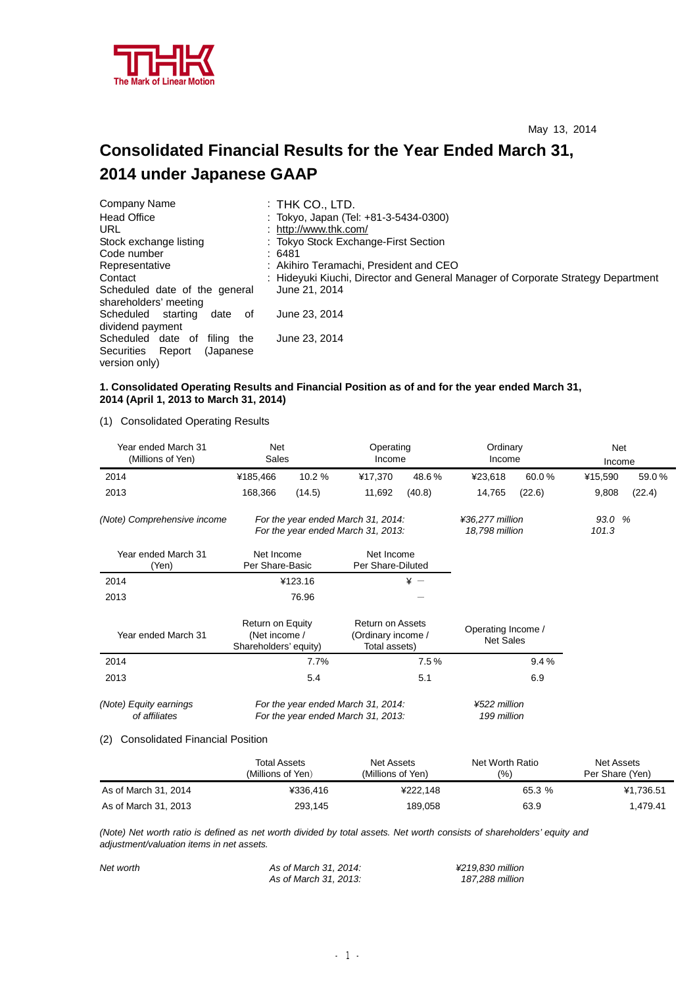

# **Consolidated Financial Results for the Year Ended March 31, 2014 under Japanese GAAP**

| Company Name                        | :THK CO., LTD.                                                                   |
|-------------------------------------|----------------------------------------------------------------------------------|
| <b>Head Office</b>                  | : Tokyo, Japan (Tel: +81-3-5434-0300)                                            |
| URL                                 | : http://www.thk.com/                                                            |
| Stock exchange listing              | : Tokyo Stock Exchange-First Section                                             |
| Code number                         | :6481                                                                            |
| Representative                      | : Akihiro Teramachi, President and CEO                                           |
| Contact                             | : Hideyuki Kiuchi, Director and General Manager of Corporate Strategy Department |
| Scheduled date of the general       | June 21, 2014                                                                    |
| shareholders' meeting               |                                                                                  |
| Scheduled<br>starting<br>date<br>of | June 23, 2014                                                                    |
| dividend payment                    |                                                                                  |
| Scheduled date of<br>filina the     | June 23, 2014                                                                    |
| Securities Report<br>(Japanese)     |                                                                                  |
| version only)                       |                                                                                  |

# **1. Consolidated Operating Results and Financial Position as of and for the year ended March 31, 2014 (April 1, 2013 to March 31, 2014)**

(1) Consolidated Operating Results

| Year ended March 31<br>(Millions of Yen)                    | Net                                                                      | Sales   |                                                                | Ordinary<br>Operating<br>Income<br>Income |                                        |        | <b>Net</b><br>Income |        |
|-------------------------------------------------------------|--------------------------------------------------------------------------|---------|----------------------------------------------------------------|-------------------------------------------|----------------------------------------|--------|----------------------|--------|
| 2014                                                        | ¥185,466                                                                 | 10.2 %  | ¥17,370                                                        | 48.6%                                     | ¥23,618                                | 60.0%  | ¥15,590              | 59.0%  |
| 2013                                                        | 168,366                                                                  | (14.5)  | 11,692                                                         | (40.8)                                    | 14,765                                 | (22.6) | 9,808                | (22.4) |
| (Note) Comprehensive income                                 | For the year ended March 31, 2014:<br>For the year ended March 31, 2013: |         |                                                                |                                           | ¥36,277 million<br>18,798 million      |        | 93.0 %<br>101.3      |        |
| Year ended March 31<br>(Yen)                                | Net Income<br>Per Share-Basic                                            |         | Net Income<br>Per Share-Diluted                                |                                           |                                        |        |                      |        |
| 2014                                                        |                                                                          | ¥123.16 | $* -$                                                          |                                           |                                        |        |                      |        |
| 2013                                                        |                                                                          | 76.96   |                                                                |                                           |                                        |        |                      |        |
| Year ended March 31                                         | Return on Equity<br>(Net income /<br>Shareholders' equity)               |         | <b>Return on Assets</b><br>(Ordinary income /<br>Total assets) |                                           | Operating Income /<br><b>Net Sales</b> |        |                      |        |
| 2014                                                        | 7.7%                                                                     |         |                                                                | 7.5%                                      |                                        | 9.4%   |                      |        |
| 2013                                                        |                                                                          | 5.4     |                                                                | 5.1                                       |                                        | 6.9    |                      |        |
| (Note) Equity earnings<br>of affiliates<br>.<br>$\sim$<br>. | For the year ended March 31, 2014:<br>For the year ended March 31, 2013: |         | ¥522 million<br>199 million                                    |                                           |                                        |        |                      |        |

#### (2) Consolidated Financial Position

|                      | <b>Total Assets</b><br>(Millions of Yen). | Net Assets<br>(Millions of Yen) | Net Worth Ratio<br>(% ) | Net Assets<br>Per Share (Yen) |
|----------------------|-------------------------------------------|---------------------------------|-------------------------|-------------------------------|
| As of March 31, 2014 | ¥336.416                                  | ¥222.148                        | 65.3 %                  | ¥1,736.51                     |
| As of March 31, 2013 | 293.145                                   | 189.058                         | 63.9                    | 1.479.41                      |

(Note) Net worth ratio is defined as net worth divided by total assets. Net worth consists of shareholders' equity and *adjustment/valuation items in net assets.* 

| Net worth | As of March 31, 2014: | ¥219.830 million |
|-----------|-----------------------|------------------|
|           | As of March 31, 2013: | 187,288 million  |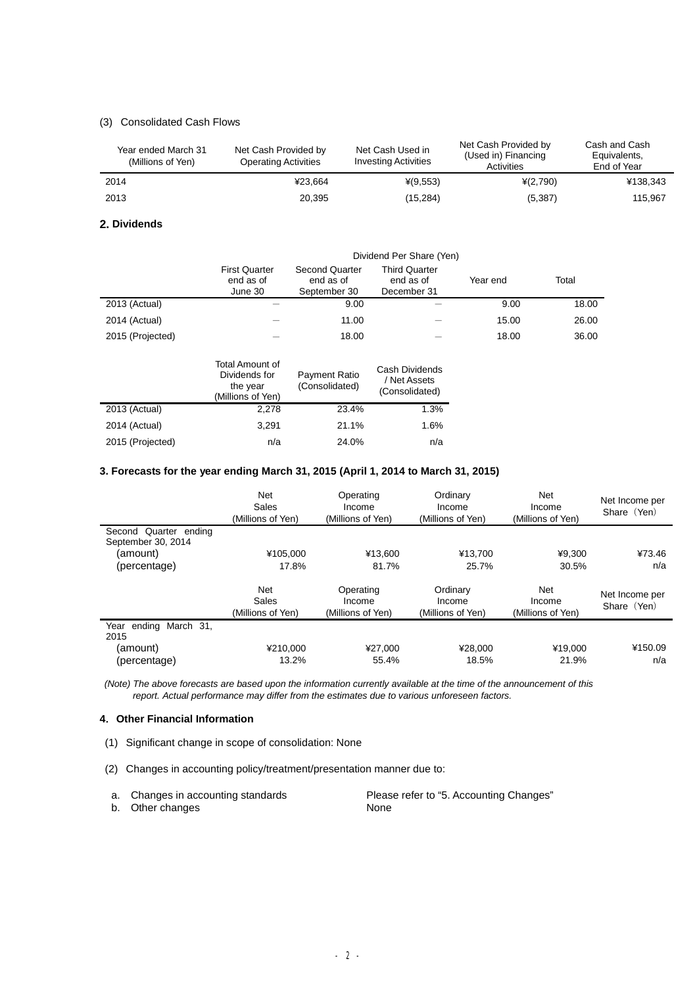# (3) Consolidated Cash Flows

| Year ended March 31<br>(Millions of Yen) | Net Cash Provided by<br><b>Operating Activities</b> | Net Cash Used in<br><b>Investing Activities</b> | Net Cash Provided by<br>(Used in) Financing<br>Activities | Cash and Cash<br>Equivalents,<br>End of Year |
|------------------------------------------|-----------------------------------------------------|-------------------------------------------------|-----------------------------------------------------------|----------------------------------------------|
| 2014                                     | ¥23.664                                             | $*(9,553)$                                      | $*(2,790)$                                                | ¥138,343                                     |
| 2013                                     | 20,395                                              | (15, 284)                                       | (5,387)                                                   | 115.967                                      |

## **2. Dividends**

|                  | Dividend Per Share (Yen)                     |                                                    |                                                  |          |       |  |  |
|------------------|----------------------------------------------|----------------------------------------------------|--------------------------------------------------|----------|-------|--|--|
|                  | <b>First Quarter</b><br>end as of<br>June 30 | <b>Second Quarter</b><br>end as of<br>September 30 | <b>Third Quarter</b><br>end as of<br>December 31 | Year end | Total |  |  |
| 2013 (Actual)    |                                              | 9.00                                               |                                                  | 9.00     | 18.00 |  |  |
| 2014 (Actual)    |                                              | 11.00                                              |                                                  | 15.00    | 26.00 |  |  |
| 2015 (Projected) |                                              | 18.00                                              |                                                  | 18.00    | 36.00 |  |  |

|                  | Total Amount of<br>Dividends for<br>the year<br>(Millions of Yen) | Payment Ratio<br>(Consolidated) | Cash Dividends<br>/ Net Assets<br>(Consolidated) |
|------------------|-------------------------------------------------------------------|---------------------------------|--------------------------------------------------|
| 2013 (Actual)    | 2,278                                                             | 23.4%                           | 1.3%                                             |
| 2014 (Actual)    | 3,291                                                             | 21.1%                           | 1.6%                                             |
| 2015 (Projected) | n/a                                                               | 24.0%                           | n/a                                              |

# **3. Forecasts for the year ending March 31, 2015 (April 1, 2014 to March 31, 2015)**

|                                  | Net<br>Sales<br>(Millions of Yen) | Operating<br>Income<br>(Millions of Yen) | Ordinary<br>Income<br>(Millions of Yen) | Net<br>Income<br>(Millions of Yen) | Net Income per<br>Share (Yen) |
|----------------------------------|-----------------------------------|------------------------------------------|-----------------------------------------|------------------------------------|-------------------------------|
| Second Quarter ending            |                                   |                                          |                                         |                                    |                               |
| September 30, 2014<br>(amount)   | ¥105.000                          | ¥13.600                                  | ¥13.700                                 | ¥9.300                             | ¥73.46                        |
| (percentage)                     | 17.8%                             | 81.7%                                    | 25.7%                                   | 30.5%                              | n/a                           |
|                                  | Net<br>Sales<br>(Millions of Yen) | Operating<br>Income<br>(Millions of Yen) | Ordinary<br>Income<br>(Millions of Yen) | Net<br>Income<br>(Millions of Yen) | Net Income per<br>Share (Yen) |
| March 31.<br>Year ending<br>2015 |                                   |                                          |                                         |                                    |                               |
| (amount)                         | ¥210,000                          | ¥27.000                                  | ¥28,000                                 | ¥19,000                            | ¥150.09                       |
| (percentage)                     | 13.2%                             | 55.4%                                    | 18.5%                                   | 21.9%                              | n/a                           |

*(Note) The above forecasts are based upon the information currently available at the time of the announcement of this report. Actual performance may differ from the estimates due to various unforeseen factors.* 

# **4.Other Financial Information**

- (1) Significant change in scope of consolidation: None
- (2) Changes in accounting policy/treatment/presentation manner due to:

| a. Changes in accounting standards | Please refer to "5. Accounting Changes" |
|------------------------------------|-----------------------------------------|
| b. Other changes                   | <b>None</b>                             |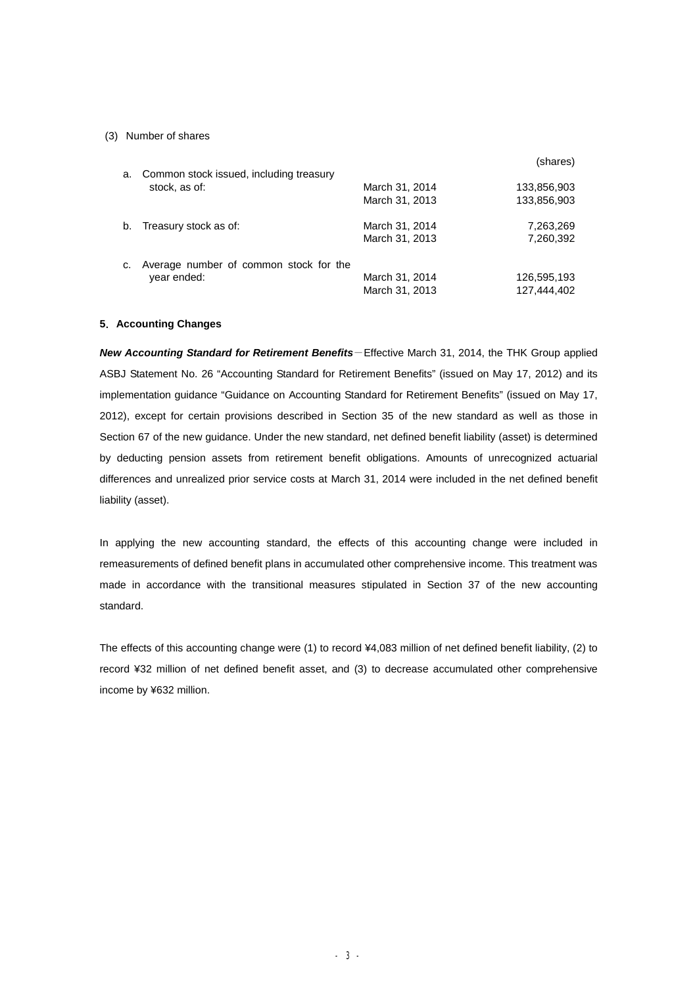#### (3) Number of shares

|    |                                         |                | (shares)    |
|----|-----------------------------------------|----------------|-------------|
| a. | Common stock issued, including treasury |                |             |
|    | stock, as of:                           | March 31, 2014 | 133,856,903 |
|    |                                         | March 31, 2013 | 133,856,903 |
| b. | Treasury stock as of:                   | March 31, 2014 | 7,263,269   |
|    |                                         | March 31, 2013 | 7,260,392   |
| c. | Average number of common stock for the  |                |             |
|    | year ended:                             | March 31, 2014 | 126,595,193 |
|    |                                         | March 31, 2013 | 127,444,402 |

#### **5.Accounting Changes**

*New Accounting Standard for Retirement Benefits*-Effective March 31, 2014, the THK Group applied ASBJ Statement No. 26 "Accounting Standard for Retirement Benefits" (issued on May 17, 2012) and its implementation guidance "Guidance on Accounting Standard for Retirement Benefits" (issued on May 17, 2012), except for certain provisions described in Section 35 of the new standard as well as those in Section 67 of the new guidance. Under the new standard, net defined benefit liability (asset) is determined by deducting pension assets from retirement benefit obligations. Amounts of unrecognized actuarial differences and unrealized prior service costs at March 31, 2014 were included in the net defined benefit liability (asset).

In applying the new accounting standard, the effects of this accounting change were included in remeasurements of defined benefit plans in accumulated other comprehensive income. This treatment was made in accordance with the transitional measures stipulated in Section 37 of the new accounting standard.

The effects of this accounting change were (1) to record ¥4,083 million of net defined benefit liability, (2) to record ¥32 million of net defined benefit asset, and (3) to decrease accumulated other comprehensive income by ¥632 million.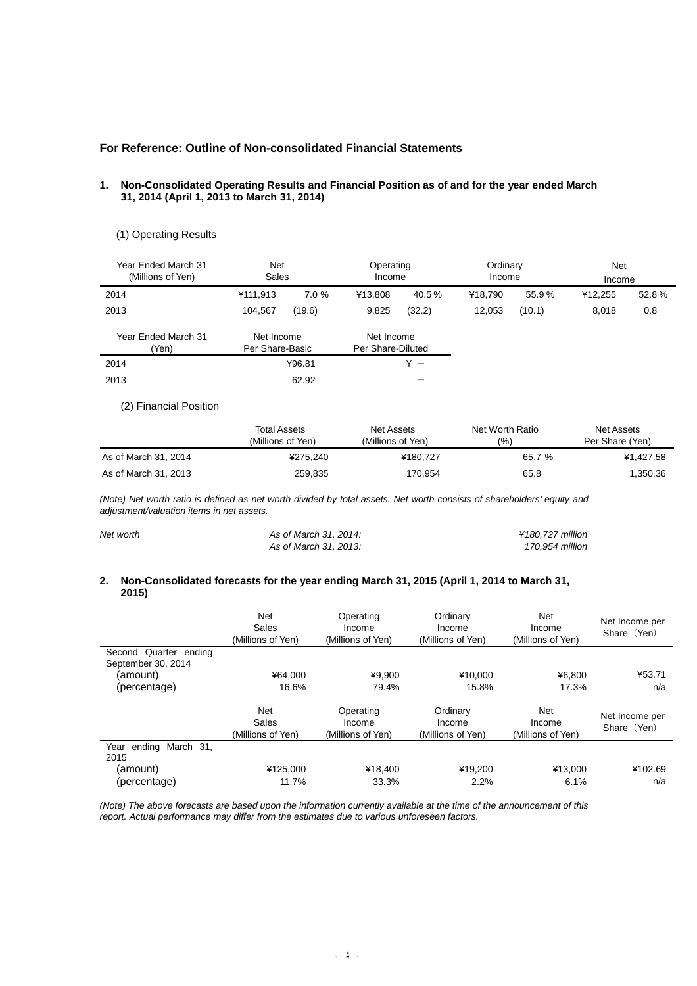# **For Reference: Outline of Non-consolidated Financial Statements**

#### **1. Non-Consolidated Operating Results and Financial Position as of and for the year ended March 31, 2014 (April 1, 2013 to March 31, 2014)**

# (1) Operating Results

| Year Ended March 31<br>(Millions of Yen) | <b>Net</b><br>Sales           |        | Operating<br>Income             |            | Ordinary<br>Income |        | <b>Net</b><br>Income |       |
|------------------------------------------|-------------------------------|--------|---------------------------------|------------|--------------------|--------|----------------------|-------|
| 2014                                     | ¥111,913                      | 7.0%   | ¥13.808                         | 40.5%      | ¥18.790            | 55.9%  | ¥12.255              | 52.8% |
| 2013                                     | 104.567                       | (19.6) | 9,825                           | (32.2)     | 12.053             | (10.1) | 8,018                | 0.8   |
| Year Ended March 31<br>(Yen)             | Net Income<br>Per Share-Basic |        | Net Income<br>Per Share-Diluted |            |                    |        |                      |       |
| 2014                                     |                               | ¥96.81 |                                 | $\angle +$ |                    |        |                      |       |
| 2013                                     |                               | 62.92  |                                 |            |                    |        |                      |       |

# (2) Financial Position

|                      | <b>Total Assets</b><br>(Millions of Yen) | Net Assets<br>(Millions of Yen) | Net Worth Ratio<br>(%) | Net Assets<br>Per Share (Yen) |
|----------------------|------------------------------------------|---------------------------------|------------------------|-------------------------------|
| As of March 31, 2014 | ¥275.240                                 | ¥180.727                        | 65.7 %                 | ¥1.427.58                     |
| As of March 31, 2013 | 259,835                                  | 170,954                         | 65.8                   | 1,350.36                      |

(Note) Net worth ratio is defined as net worth divided by total assets. Net worth consists of shareholders' equity and *adjustment/valuation items in net assets.* 

| Net worth | As of March 31, 2014: | ¥180.727 million |
|-----------|-----------------------|------------------|
|           | As of March 31, 2013: | 170.954 million  |

#### **2. Non-Consolidated forecasts for the year ending March 31, 2015 (April 1, 2014 to March 31, 2015)**

|                                             | Net<br>Sales<br>(Millions of Yen) | Operating<br>Income<br>(Millions of Yen) | Ordinary<br>Income<br>(Millions of Yen) | Net<br>Income<br>(Millions of Yen) | Net Income per<br>Share (Yen) |
|---------------------------------------------|-----------------------------------|------------------------------------------|-----------------------------------------|------------------------------------|-------------------------------|
| Second Quarter ending<br>September 30, 2014 |                                   |                                          |                                         |                                    |                               |
| (amount)                                    | ¥64.000                           | ¥9.900                                   | ¥10.000                                 | ¥6.800                             | ¥53.71                        |
| (percentage)                                | 16.6%                             | 79.4%                                    | 15.8%                                   | 17.3%                              | n/a                           |
|                                             | Net<br>Sales<br>(Millions of Yen) | Operating<br>Income<br>(Millions of Yen) | Ordinary<br>Income<br>(Millions of Yen) | Net<br>Income<br>(Millions of Yen) | Net Income per<br>Share (Yen) |
| ending March 31,<br>Year<br>2015            |                                   |                                          |                                         |                                    |                               |
| (amount)                                    | ¥125.000                          | ¥18,400                                  | ¥19.200                                 | ¥13.000                            | ¥102.69                       |
| (percentage)                                | 11.7%                             | 33.3%                                    | 2.2%                                    | 6.1%                               | n/a                           |

*(Note) The above forecasts are based upon the information currently available at the time of the announcement of this report. Actual performance may differ from the estimates due to various unforeseen factors.*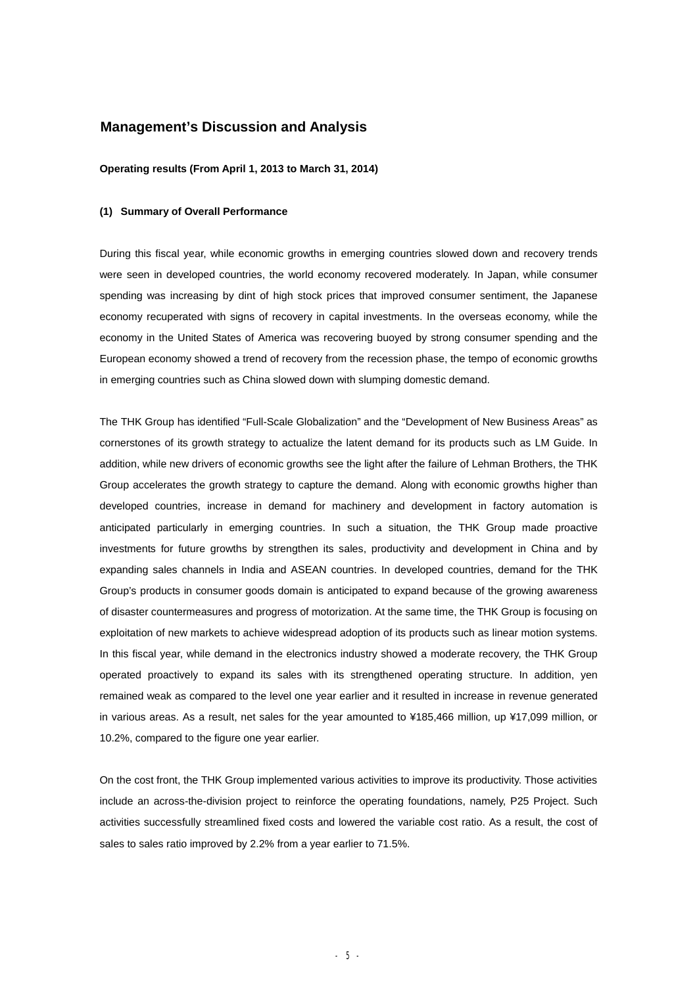# **Management's Discussion and Analysis**

#### **Operating results (From April 1, 2013 to March 31, 2014)**

### **(1) Summary of Overall Performance**

During this fiscal year, while economic growths in emerging countries slowed down and recovery trends were seen in developed countries, the world economy recovered moderately. In Japan, while consumer spending was increasing by dint of high stock prices that improved consumer sentiment, the Japanese economy recuperated with signs of recovery in capital investments. In the overseas economy, while the economy in the United States of America was recovering buoyed by strong consumer spending and the European economy showed a trend of recovery from the recession phase, the tempo of economic growths in emerging countries such as China slowed down with slumping domestic demand.

The THK Group has identified "Full-Scale Globalization" and the "Development of New Business Areas" as cornerstones of its growth strategy to actualize the latent demand for its products such as LM Guide. In addition, while new drivers of economic growths see the light after the failure of Lehman Brothers, the THK Group accelerates the growth strategy to capture the demand. Along with economic growths higher than developed countries, increase in demand for machinery and development in factory automation is anticipated particularly in emerging countries. In such a situation, the THK Group made proactive investments for future growths by strengthen its sales, productivity and development in China and by expanding sales channels in India and ASEAN countries. In developed countries, demand for the THK Group's products in consumer goods domain is anticipated to expand because of the growing awareness of disaster countermeasures and progress of motorization. At the same time, the THK Group is focusing on exploitation of new markets to achieve widespread adoption of its products such as linear motion systems. In this fiscal year, while demand in the electronics industry showed a moderate recovery, the THK Group operated proactively to expand its sales with its strengthened operating structure. In addition, yen remained weak as compared to the level one year earlier and it resulted in increase in revenue generated in various areas. As a result, net sales for the year amounted to ¥185,466 million, up ¥17,099 million, or 10.2%, compared to the figure one year earlier.

On the cost front, the THK Group implemented various activities to improve its productivity. Those activities include an across-the-division project to reinforce the operating foundations, namely, P25 Project. Such activities successfully streamlined fixed costs and lowered the variable cost ratio. As a result, the cost of sales to sales ratio improved by 2.2% from a year earlier to 71.5%.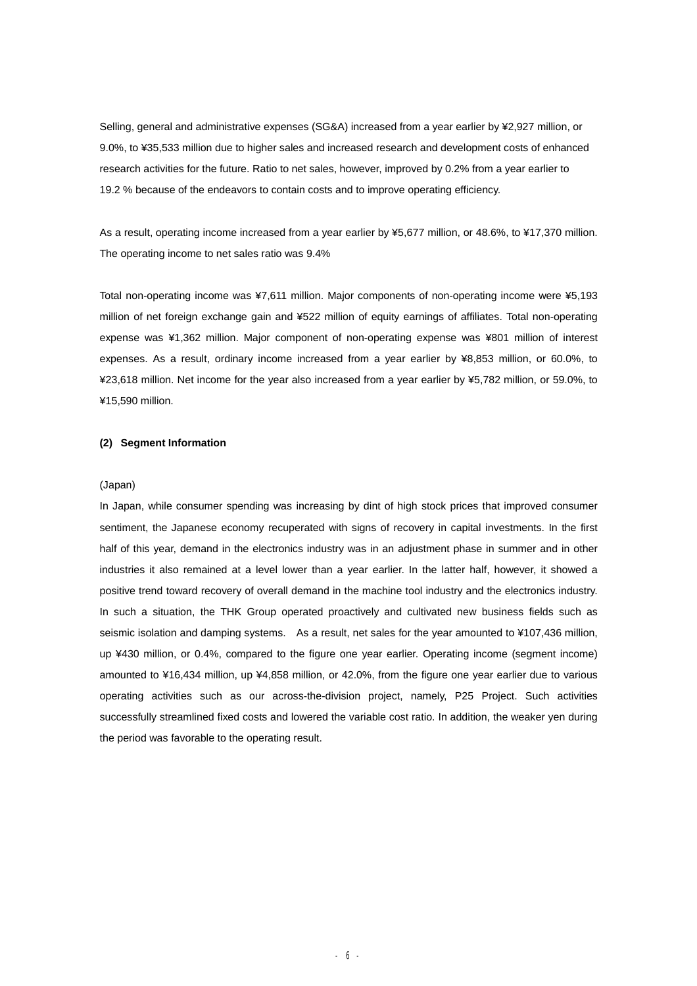Selling, general and administrative expenses (SG&A) increased from a year earlier by ¥2,927 million, or 9.0%, to ¥35,533 million due to higher sales and increased research and development costs of enhanced research activities for the future. Ratio to net sales, however, improved by 0.2% from a year earlier to 19.2 % because of the endeavors to contain costs and to improve operating efficiency.

As a result, operating income increased from a year earlier by ¥5,677 million, or 48.6%, to ¥17,370 million. The operating income to net sales ratio was 9.4%

Total non-operating income was ¥7,611 million. Major components of non-operating income were ¥5,193 million of net foreign exchange gain and ¥522 million of equity earnings of affiliates. Total non-operating expense was ¥1,362 million. Major component of non-operating expense was ¥801 million of interest expenses. As a result, ordinary income increased from a year earlier by ¥8,853 million, or 60.0%, to ¥23,618 million. Net income for the year also increased from a year earlier by ¥5,782 million, or 59.0%, to ¥15,590 million.

#### **(2) Segment Information**

#### (Japan)

In Japan, while consumer spending was increasing by dint of high stock prices that improved consumer sentiment, the Japanese economy recuperated with signs of recovery in capital investments. In the first half of this year, demand in the electronics industry was in an adjustment phase in summer and in other industries it also remained at a level lower than a year earlier. In the latter half, however, it showed a positive trend toward recovery of overall demand in the machine tool industry and the electronics industry. In such a situation, the THK Group operated proactively and cultivated new business fields such as seismic isolation and damping systems. As a result, net sales for the year amounted to ¥107,436 million, up ¥430 million, or 0.4%, compared to the figure one year earlier. Operating income (segment income) amounted to ¥16,434 million, up ¥4,858 million, or 42.0%, from the figure one year earlier due to various operating activities such as our across-the-division project, namely, P25 Project. Such activities successfully streamlined fixed costs and lowered the variable cost ratio. In addition, the weaker yen during the period was favorable to the operating result.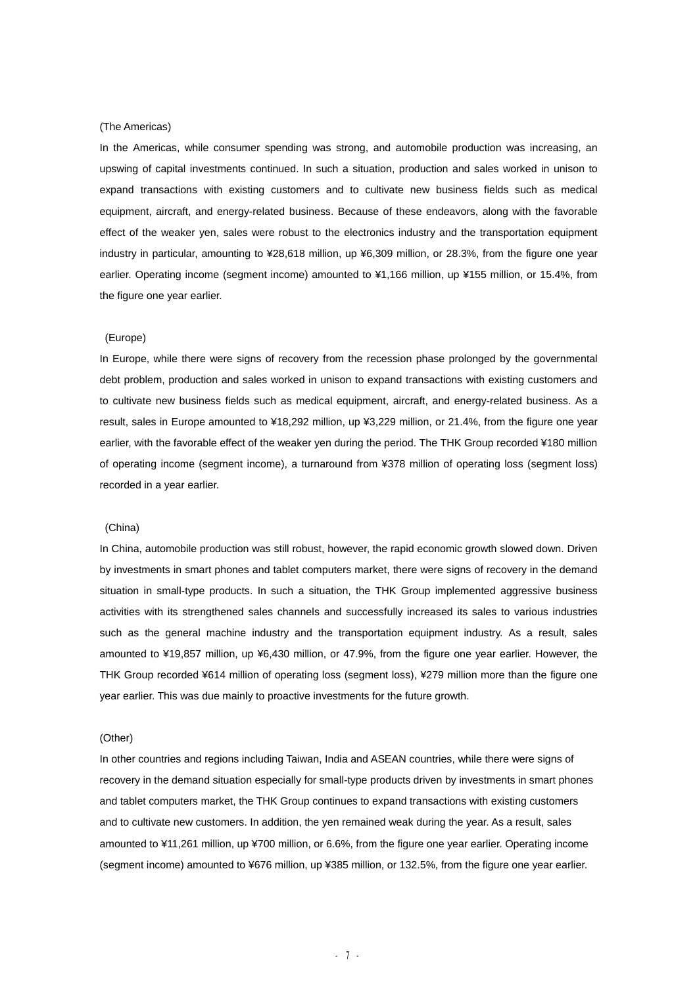#### (The Americas)

In the Americas, while consumer spending was strong, and automobile production was increasing, an upswing of capital investments continued. In such a situation, production and sales worked in unison to expand transactions with existing customers and to cultivate new business fields such as medical equipment, aircraft, and energy-related business. Because of these endeavors, along with the favorable effect of the weaker yen, sales were robust to the electronics industry and the transportation equipment industry in particular, amounting to ¥28,618 million, up ¥6,309 million, or 28.3%, from the figure one year earlier. Operating income (segment income) amounted to ¥1,166 million, up ¥155 million, or 15.4%, from the figure one year earlier.

#### (Europe)

In Europe, while there were signs of recovery from the recession phase prolonged by the governmental debt problem, production and sales worked in unison to expand transactions with existing customers and to cultivate new business fields such as medical equipment, aircraft, and energy-related business. As a result, sales in Europe amounted to ¥18,292 million, up ¥3,229 million, or 21.4%, from the figure one year earlier, with the favorable effect of the weaker yen during the period. The THK Group recorded ¥180 million of operating income (segment income), a turnaround from ¥378 million of operating loss (segment loss) recorded in a year earlier.

#### (China)

In China, automobile production was still robust, however, the rapid economic growth slowed down. Driven by investments in smart phones and tablet computers market, there were signs of recovery in the demand situation in small-type products. In such a situation, the THK Group implemented aggressive business activities with its strengthened sales channels and successfully increased its sales to various industries such as the general machine industry and the transportation equipment industry. As a result, sales amounted to ¥19,857 million, up ¥6,430 million, or 47.9%, from the figure one year earlier. However, the THK Group recorded ¥614 million of operating loss (segment loss), ¥279 million more than the figure one year earlier. This was due mainly to proactive investments for the future growth.

#### (Other)

In other countries and regions including Taiwan, India and ASEAN countries, while there were signs of recovery in the demand situation especially for small-type products driven by investments in smart phones and tablet computers market, the THK Group continues to expand transactions with existing customers and to cultivate new customers. In addition, the yen remained weak during the year. As a result, sales amounted to ¥11,261 million, up ¥700 million, or 6.6%, from the figure one year earlier. Operating income (segment income) amounted to ¥676 million, up ¥385 million, or 132.5%, from the figure one year earlier.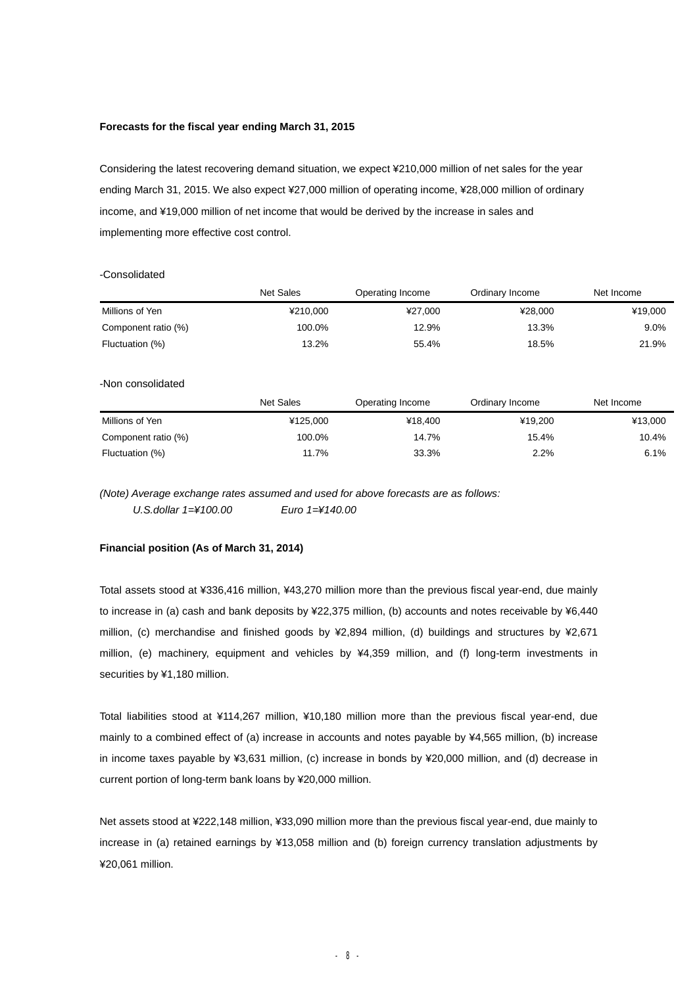#### **Forecasts for the fiscal year ending March 31, 2015**

Considering the latest recovering demand situation, we expect ¥210,000 million of net sales for the year ending March 31, 2015. We also expect ¥27,000 million of operating income, ¥28,000 million of ordinary income, and ¥19,000 million of net income that would be derived by the increase in sales and implementing more effective cost control.

### -Consolidated

|                     | <b>Net Sales</b> | Operating Income | Ordinary Income | Net Income |
|---------------------|------------------|------------------|-----------------|------------|
| Millions of Yen     | ¥210.000         | ¥27,000          | ¥28,000         | ¥19,000    |
| Component ratio (%) | 100.0%           | 12.9%            | 13.3%           | 9.0%       |
| Fluctuation (%)     | 13.2%            | 55.4%            | 18.5%           | 21.9%      |
| -Non consolidated   |                  |                  |                 |            |
|                     | <b>Net Sales</b> | Operating Income | Ordinary Income | Net Income |
| Millions of Yen     | ¥125,000         | ¥18,400          | ¥19.200         | ¥13,000    |
| Component ratio (%) | 100.0%           | 14.7%            | 15.4%           | 10.4%      |
| Fluctuation (%)     | 11.7%            | 33.3%            | 2.2%            | 6.1%       |

*(Note) Average exchange rates assumed and used for above forecasts are as follows: U.S.dollar 1=¥100.00 Euro 1=¥140.00* 

**Financial position (As of March 31, 2014)** 

Total assets stood at ¥336,416 million, ¥43,270 million more than the previous fiscal year-end, due mainly to increase in (a) cash and bank deposits by ¥22,375 million, (b) accounts and notes receivable by ¥6,440 million, (c) merchandise and finished goods by ¥2,894 million, (d) buildings and structures by ¥2,671 million, (e) machinery, equipment and vehicles by ¥4,359 million, and (f) long-term investments in securities by ¥1,180 million.

Total liabilities stood at ¥114,267 million, ¥10,180 million more than the previous fiscal year-end, due mainly to a combined effect of (a) increase in accounts and notes payable by ¥4,565 million, (b) increase in income taxes payable by ¥3,631 million, (c) increase in bonds by ¥20,000 million, and (d) decrease in current portion of long-term bank loans by ¥20,000 million.

Net assets stood at ¥222,148 million, ¥33,090 million more than the previous fiscal year-end, due mainly to increase in (a) retained earnings by ¥13,058 million and (b) foreign currency translation adjustments by ¥20,061 million.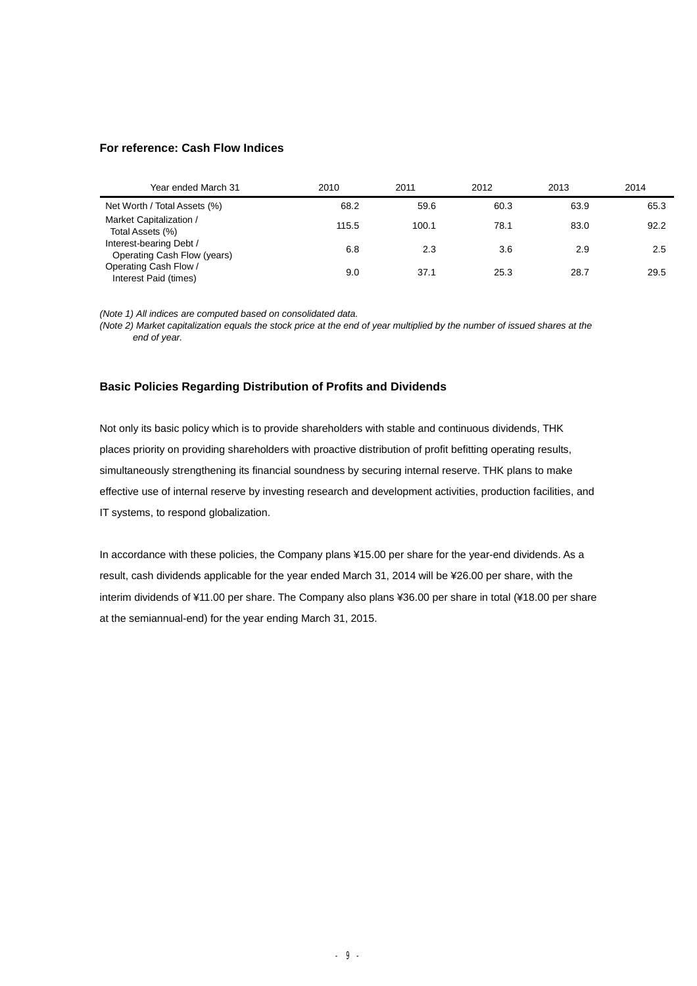# **For reference: Cash Flow Indices**

| Year ended March 31                                    | 2010  | 2011  | 2012 | 2013 | 2014 |
|--------------------------------------------------------|-------|-------|------|------|------|
| Net Worth / Total Assets (%)                           | 68.2  | 59.6  | 60.3 | 63.9 | 65.3 |
| Market Capitalization /<br>Total Assets (%)            | 115.5 | 100.1 | 78.1 | 83.0 | 92.2 |
| Interest-bearing Debt /<br>Operating Cash Flow (years) | 6.8   | 2.3   | 3.6  | 2.9  | 2.5  |
| Operating Cash Flow /<br>Interest Paid (times)         | 9.0   | 37.1  | 25.3 | 28.7 | 29.5 |

*(Note 1) All indices are computed based on consolidated data.* 

(Note 2) Market capitalization equals the stock price at the end of year multiplied by the number of issued shares at the *end of year.* 

# **Basic Policies Regarding Distribution of Profits and Dividends**

Not only its basic policy which is to provide shareholders with stable and continuous dividends, THK places priority on providing shareholders with proactive distribution of profit befitting operating results, simultaneously strengthening its financial soundness by securing internal reserve. THK plans to make effective use of internal reserve by investing research and development activities, production facilities, and IT systems, to respond globalization.

In accordance with these policies, the Company plans ¥15.00 per share for the year-end dividends. As a result, cash dividends applicable for the year ended March 31, 2014 will be ¥26.00 per share, with the interim dividends of ¥11.00 per share. The Company also plans ¥36.00 per share in total (¥18.00 per share at the semiannual-end) for the year ending March 31, 2015.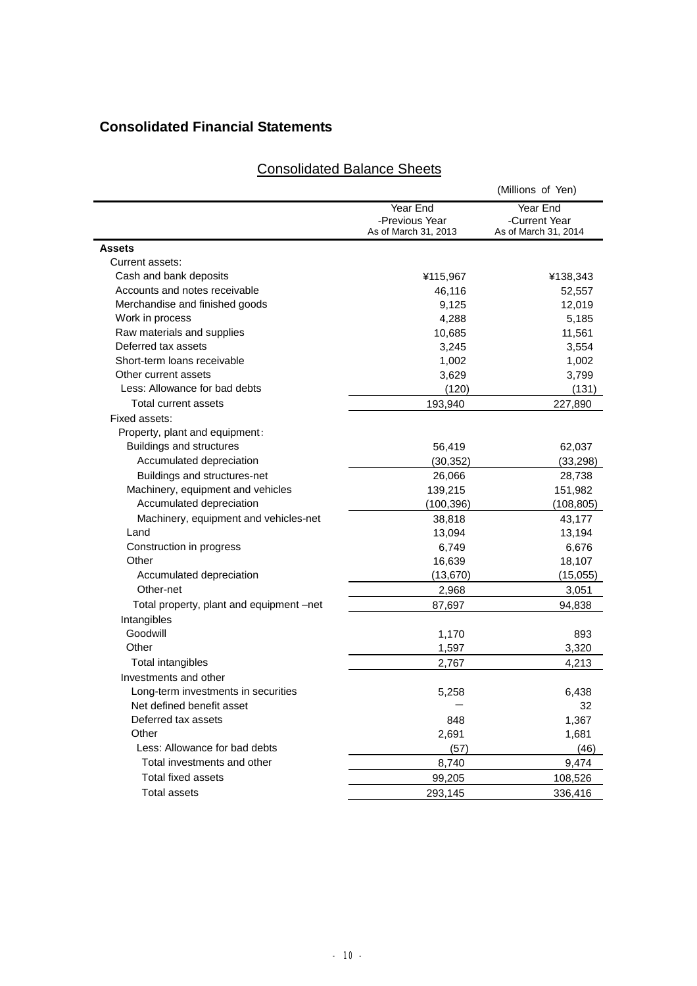# **Consolidated Financial Statements**

# Consolidated Balance Sheets

|                                          |                                                    | (Millions of Yen)                                 |
|------------------------------------------|----------------------------------------------------|---------------------------------------------------|
|                                          | Year End<br>-Previous Year<br>As of March 31, 2013 | Year End<br>-Current Year<br>As of March 31, 2014 |
| Assets                                   |                                                    |                                                   |
| Current assets:                          |                                                    |                                                   |
| Cash and bank deposits                   | ¥115,967                                           | ¥138,343                                          |
| Accounts and notes receivable            | 46,116                                             | 52,557                                            |
| Merchandise and finished goods           | 9,125                                              | 12,019                                            |
| Work in process                          | 4,288                                              | 5,185                                             |
| Raw materials and supplies               | 10,685                                             | 11,561                                            |
| Deferred tax assets                      | 3,245                                              | 3,554                                             |
| Short-term loans receivable              | 1,002                                              | 1,002                                             |
| Other current assets                     | 3,629                                              | 3,799                                             |
| Less: Allowance for bad debts            | (120)                                              | (131)                                             |
| Total current assets                     | 193,940                                            | 227,890                                           |
| Fixed assets:                            |                                                    |                                                   |
| Property, plant and equipment:           |                                                    |                                                   |
| Buildings and structures                 | 56,419                                             | 62,037                                            |
| Accumulated depreciation                 | (30, 352)                                          | (33, 298)                                         |
| Buildings and structures-net             | 26,066                                             | 28,738                                            |
| Machinery, equipment and vehicles        | 139,215                                            | 151,982                                           |
| Accumulated depreciation                 | (100, 396)                                         | (108, 805)                                        |
| Machinery, equipment and vehicles-net    | 38,818                                             | 43,177                                            |
| Land                                     | 13,094                                             | 13,194                                            |
| Construction in progress                 | 6,749                                              | 6,676                                             |
| Other                                    | 16,639                                             | 18,107                                            |
| Accumulated depreciation                 | (13, 670)                                          | (15,055)                                          |
| Other-net                                | 2,968                                              | 3,051                                             |
| Total property, plant and equipment –net | 87,697                                             | 94,838                                            |
| Intangibles                              |                                                    |                                                   |
| Goodwill                                 | 1,170                                              | 893                                               |
| Other                                    | 1,597                                              | 3,320                                             |
| Total intangibles                        | 2,767                                              | 4,213                                             |
| Investments and other                    |                                                    |                                                   |
| Long-term investments in securities      | 5,258                                              | 6,438                                             |
| Net defined benefit asset                |                                                    | 32                                                |
| Deferred tax assets                      | 848                                                | 1,367                                             |
| Other                                    | 2,691                                              | 1,681                                             |
| Less: Allowance for bad debts            | (57)                                               | (46)                                              |
| Total investments and other              | 8,740                                              | 9,474                                             |
| Total fixed assets                       | 99,205                                             | 108,526                                           |
| <b>Total assets</b>                      | 293,145                                            |                                                   |
|                                          |                                                    | 336,416                                           |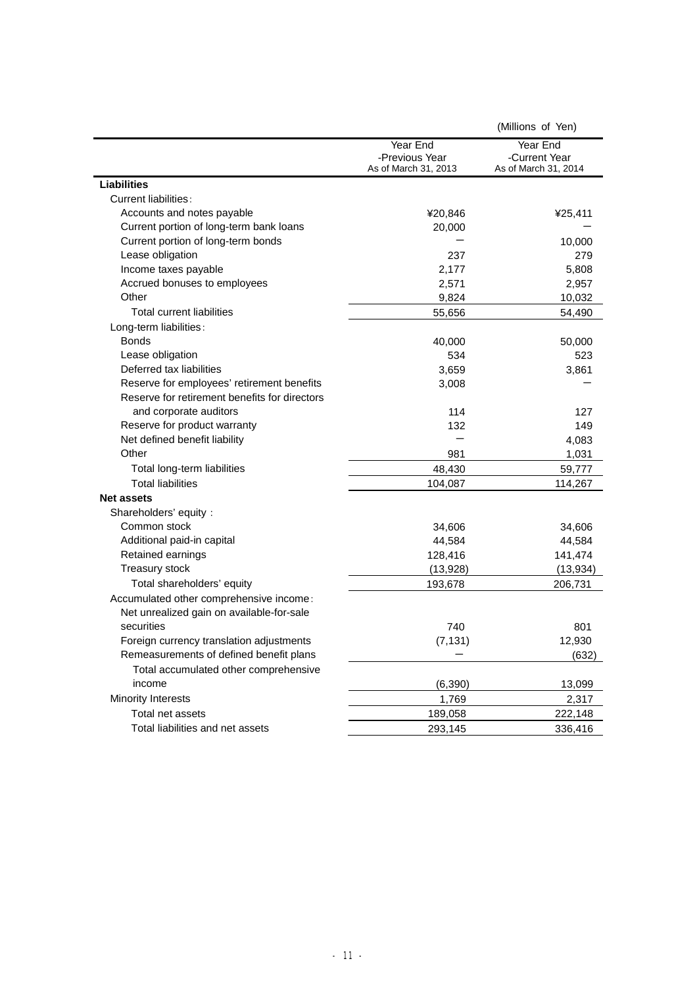|                                               |                                                    | (Millions of Yen)                                 |
|-----------------------------------------------|----------------------------------------------------|---------------------------------------------------|
|                                               | Year End<br>-Previous Year<br>As of March 31, 2013 | Year End<br>-Current Year<br>As of March 31, 2014 |
| <b>Liabilities</b>                            |                                                    |                                                   |
| Current liabilities:                          |                                                    |                                                   |
| Accounts and notes payable                    | ¥20,846                                            | ¥25,411                                           |
| Current portion of long-term bank loans       | 20,000                                             |                                                   |
| Current portion of long-term bonds            |                                                    | 10,000                                            |
| Lease obligation                              | 237                                                | 279                                               |
| Income taxes payable                          | 2,177                                              | 5,808                                             |
| Accrued bonuses to employees                  | 2,571                                              | 2,957                                             |
| Other                                         | 9,824                                              | 10,032                                            |
| <b>Total current liabilities</b>              | 55,656                                             | 54,490                                            |
| Long-term liabilities:                        |                                                    |                                                   |
| <b>Bonds</b>                                  | 40,000                                             | 50,000                                            |
| Lease obligation                              | 534                                                | 523                                               |
| Deferred tax liabilities                      | 3,659                                              | 3,861                                             |
| Reserve for employees' retirement benefits    | 3,008                                              |                                                   |
| Reserve for retirement benefits for directors |                                                    |                                                   |
| and corporate auditors                        | 114                                                | 127                                               |
| Reserve for product warranty                  | 132                                                | 149                                               |
| Net defined benefit liability                 |                                                    | 4,083                                             |
| Other                                         | 981                                                | 1,031                                             |
| Total long-term liabilities                   | 48,430                                             | 59,777                                            |
| <b>Total liabilities</b>                      | 104,087                                            | 114,267                                           |
| <b>Net assets</b>                             |                                                    |                                                   |
| Shareholders' equity :                        |                                                    |                                                   |
| Common stock                                  | 34,606                                             | 34,606                                            |
| Additional paid-in capital                    | 44,584                                             | 44,584                                            |
| Retained earnings                             | 128,416                                            | 141,474                                           |
| Treasury stock                                | (13, 928)                                          | (13, 934)                                         |
| Total shareholders' equity                    | 193,678                                            | 206,731                                           |
| Accumulated other comprehensive income:       |                                                    |                                                   |
| Net unrealized gain on available-for-sale     |                                                    |                                                   |
| securities                                    | 740                                                | 801                                               |
| Foreign currency translation adjustments      | (7, 131)                                           | 12,930                                            |
| Remeasurements of defined benefit plans       |                                                    | (632)                                             |
| Total accumulated other comprehensive         |                                                    |                                                   |
| income                                        | (6, 390)                                           | 13,099                                            |
| Minority Interests                            | 1,769                                              | 2,317                                             |
| Total net assets                              | 189,058                                            | 222,148                                           |
| Total liabilities and net assets              | 293,145                                            | 336,416                                           |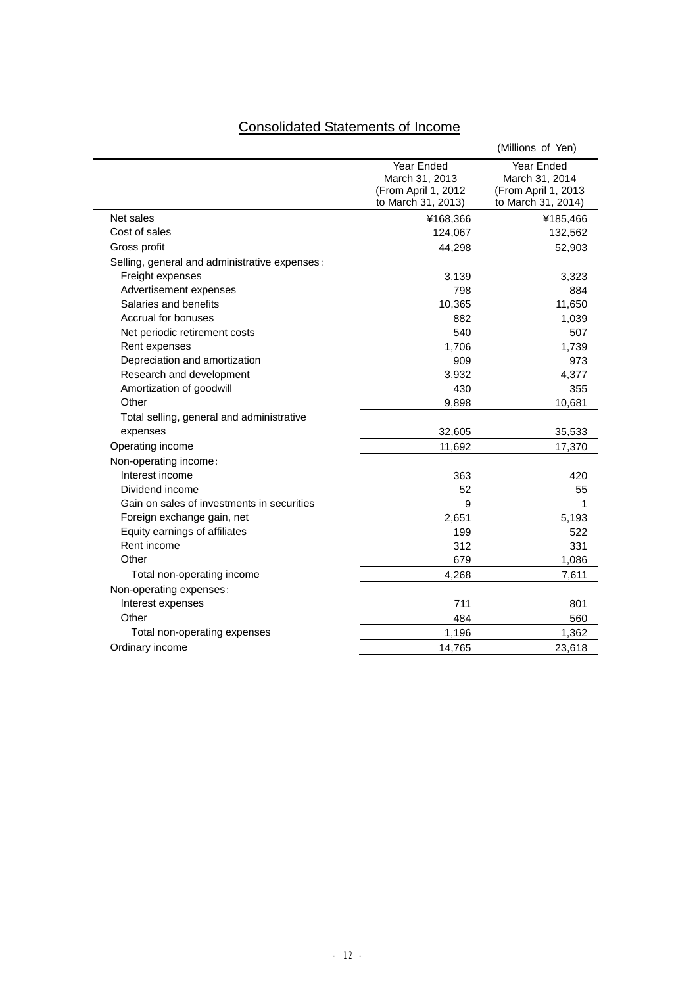# Consolidated Statements of Income

|                                               |                                                                            | (Millions of Yen)                                                         |
|-----------------------------------------------|----------------------------------------------------------------------------|---------------------------------------------------------------------------|
|                                               | Year Ended<br>March 31, 2013<br>(From April 1, 2012)<br>to March 31, 2013) | Year Ended<br>March 31, 2014<br>(From April 1, 2013<br>to March 31, 2014) |
| Net sales                                     | ¥168,366                                                                   | ¥185,466                                                                  |
| Cost of sales                                 | 124,067                                                                    | 132,562                                                                   |
| Gross profit                                  | 44,298                                                                     | 52,903                                                                    |
| Selling, general and administrative expenses: |                                                                            |                                                                           |
| Freight expenses                              | 3,139                                                                      | 3,323                                                                     |
| Advertisement expenses                        | 798                                                                        | 884                                                                       |
| Salaries and benefits                         | 10,365                                                                     | 11,650                                                                    |
| Accrual for bonuses                           | 882                                                                        | 1,039                                                                     |
| Net periodic retirement costs                 | 540                                                                        | 507                                                                       |
| Rent expenses                                 | 1,706                                                                      | 1,739                                                                     |
| Depreciation and amortization                 | 909                                                                        | 973                                                                       |
| Research and development                      | 3,932                                                                      | 4,377                                                                     |
| Amortization of goodwill                      | 430                                                                        | 355                                                                       |
| Other                                         | 9,898                                                                      | 10,681                                                                    |
| Total selling, general and administrative     |                                                                            |                                                                           |
| expenses                                      | 32,605                                                                     | 35,533                                                                    |
| Operating income                              | 11,692                                                                     | 17,370                                                                    |
| Non-operating income:                         |                                                                            |                                                                           |
| Interest income                               | 363                                                                        | 420                                                                       |
| Dividend income                               | 52                                                                         | 55                                                                        |
| Gain on sales of investments in securities    | 9                                                                          | 1                                                                         |
| Foreign exchange gain, net                    | 2,651                                                                      | 5,193                                                                     |
| Equity earnings of affiliates                 | 199                                                                        | 522                                                                       |
| Rent income                                   | 312                                                                        | 331                                                                       |
| Other                                         | 679                                                                        | 1,086                                                                     |
| Total non-operating income                    | 4,268                                                                      | 7,611                                                                     |
| Non-operating expenses:                       |                                                                            |                                                                           |
| Interest expenses                             | 711                                                                        | 801                                                                       |
| Other                                         | 484                                                                        | 560                                                                       |
| Total non-operating expenses                  | 1,196                                                                      | 1,362                                                                     |
| Ordinary income                               | 14,765                                                                     | 23,618                                                                    |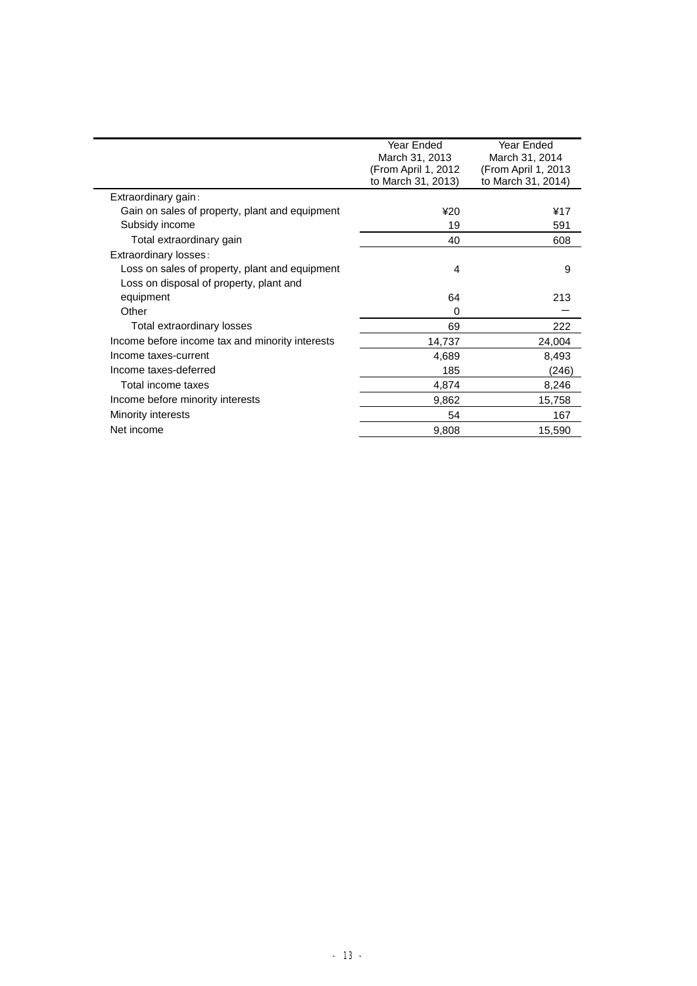|                                                 | Year Ended<br>March 31, 2013 | Year Ended<br>March 31, 2014 |
|-------------------------------------------------|------------------------------|------------------------------|
|                                                 | (From April 1, 2012          | (From April 1, 2013          |
|                                                 | to March 31, 2013)           | to March 31, 2014)           |
| Extraordinary gain:                             |                              |                              |
| Gain on sales of property, plant and equipment  | ¥20                          | ¥17                          |
| Subsidy income                                  | 19                           | 591                          |
| Total extraordinary gain                        | 40                           | 608                          |
| Extraordinary losses:                           |                              |                              |
| Loss on sales of property, plant and equipment  | 4                            | 9                            |
| Loss on disposal of property, plant and         |                              |                              |
| equipment                                       | 64                           | 213                          |
| Other                                           | 0                            |                              |
| Total extraordinary losses                      | 69                           | 222                          |
| Income before income tax and minority interests | 14,737                       | 24,004                       |
| Income taxes-current                            | 4,689                        | 8,493                        |
| Income taxes-deferred                           | 185                          | (246)                        |
| Total income taxes                              | 4,874                        | 8,246                        |
| Income before minority interests                | 9,862                        | 15,758                       |
| <b>Minority interests</b>                       | 54                           | 167                          |
| Net income                                      | 9,808                        | 15,590                       |
|                                                 |                              |                              |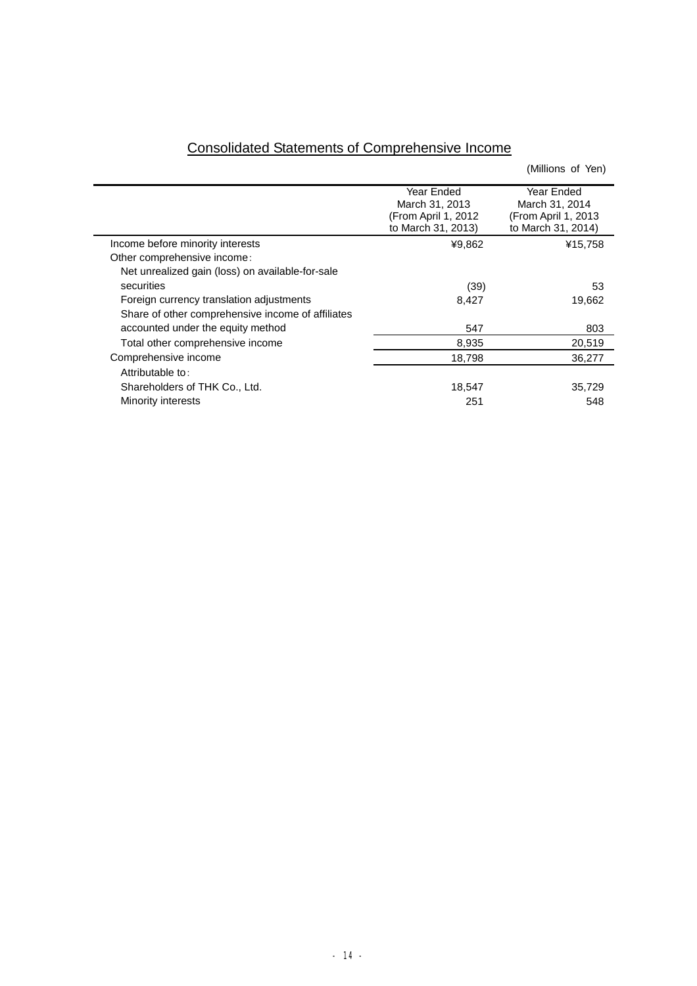|                                                   |                                                                            | (Millions of Yen)                                                          |
|---------------------------------------------------|----------------------------------------------------------------------------|----------------------------------------------------------------------------|
|                                                   | Year Ended<br>March 31, 2013<br>(From April 1, 2012)<br>to March 31, 2013) | Year Ended<br>March 31, 2014<br>(From April 1, 2013)<br>to March 31, 2014) |
| Income before minority interests                  | ¥9,862                                                                     | ¥15,758                                                                    |
| Other comprehensive income:                       |                                                                            |                                                                            |
| Net unrealized gain (loss) on available-for-sale  |                                                                            |                                                                            |
| securities                                        | (39)                                                                       | 53                                                                         |
| Foreign currency translation adjustments          | 8,427                                                                      | 19,662                                                                     |
| Share of other comprehensive income of affiliates |                                                                            |                                                                            |
| accounted under the equity method                 | 547                                                                        | 803                                                                        |
| Total other comprehensive income                  | 8,935                                                                      | 20,519                                                                     |
| Comprehensive income                              | 18,798                                                                     | 36,277                                                                     |
| Attributable to:                                  |                                                                            |                                                                            |
| Shareholders of THK Co., Ltd.                     | 18,547                                                                     | 35,729                                                                     |
| Minority interests                                | 251                                                                        | 548                                                                        |

# Consolidated Statements of Comprehensive Income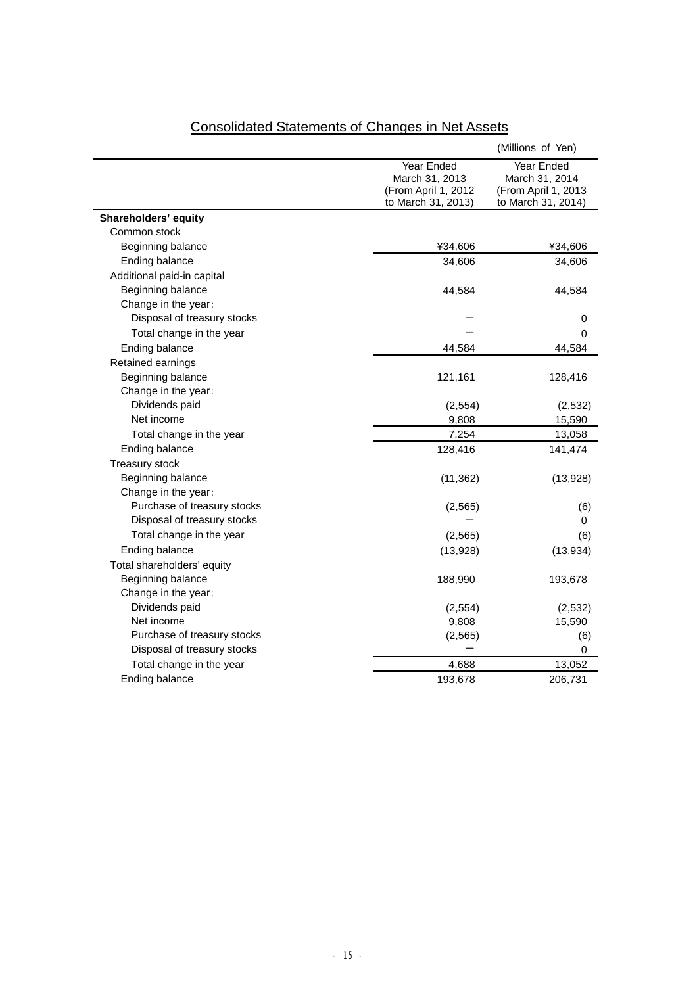|                             |                                                                           | (Millions of Yen)                                                         |
|-----------------------------|---------------------------------------------------------------------------|---------------------------------------------------------------------------|
|                             | Year Ended<br>March 31, 2013<br>(From April 1, 2012<br>to March 31, 2013) | Year Ended<br>March 31, 2014<br>(From April 1, 2013<br>to March 31, 2014) |
| Shareholders' equity        |                                                                           |                                                                           |
| Common stock                |                                                                           |                                                                           |
| Beginning balance           | ¥34,606                                                                   | ¥34,606                                                                   |
| Ending balance              | 34,606                                                                    | 34,606                                                                    |
| Additional paid-in capital  |                                                                           |                                                                           |
| Beginning balance           | 44,584                                                                    | 44,584                                                                    |
| Change in the year:         |                                                                           |                                                                           |
| Disposal of treasury stocks |                                                                           | 0                                                                         |
| Total change in the year    |                                                                           | 0                                                                         |
| Ending balance              | 44,584                                                                    | 44,584                                                                    |
| Retained earnings           |                                                                           |                                                                           |
| Beginning balance           | 121,161                                                                   | 128,416                                                                   |
| Change in the year:         |                                                                           |                                                                           |
| Dividends paid              | (2, 554)                                                                  | (2,532)                                                                   |
| Net income                  | 9,808                                                                     | 15,590                                                                    |
| Total change in the year    | 7,254                                                                     | 13,058                                                                    |
| Ending balance              | 128,416                                                                   | 141,474                                                                   |
| Treasury stock              |                                                                           |                                                                           |
| Beginning balance           | (11, 362)                                                                 | (13,928)                                                                  |
| Change in the year:         |                                                                           |                                                                           |
| Purchase of treasury stocks | (2, 565)                                                                  | (6)                                                                       |
| Disposal of treasury stocks |                                                                           | 0                                                                         |
| Total change in the year    | (2, 565)                                                                  | (6)                                                                       |
| Ending balance              | (13,928)                                                                  | (13, 934)                                                                 |
| Total shareholders' equity  |                                                                           |                                                                           |
| Beginning balance           | 188,990                                                                   | 193,678                                                                   |
| Change in the year:         |                                                                           |                                                                           |
| Dividends paid              | (2,554)                                                                   | (2,532)                                                                   |
| Net income                  | 9,808                                                                     | 15,590                                                                    |
| Purchase of treasury stocks | (2, 565)                                                                  | (6)                                                                       |
| Disposal of treasury stocks |                                                                           | 0                                                                         |
| Total change in the year    | 4,688                                                                     | 13,052                                                                    |
| Ending balance              | 193,678                                                                   | 206,731                                                                   |

# Consolidated Statements of Changes in Net Assets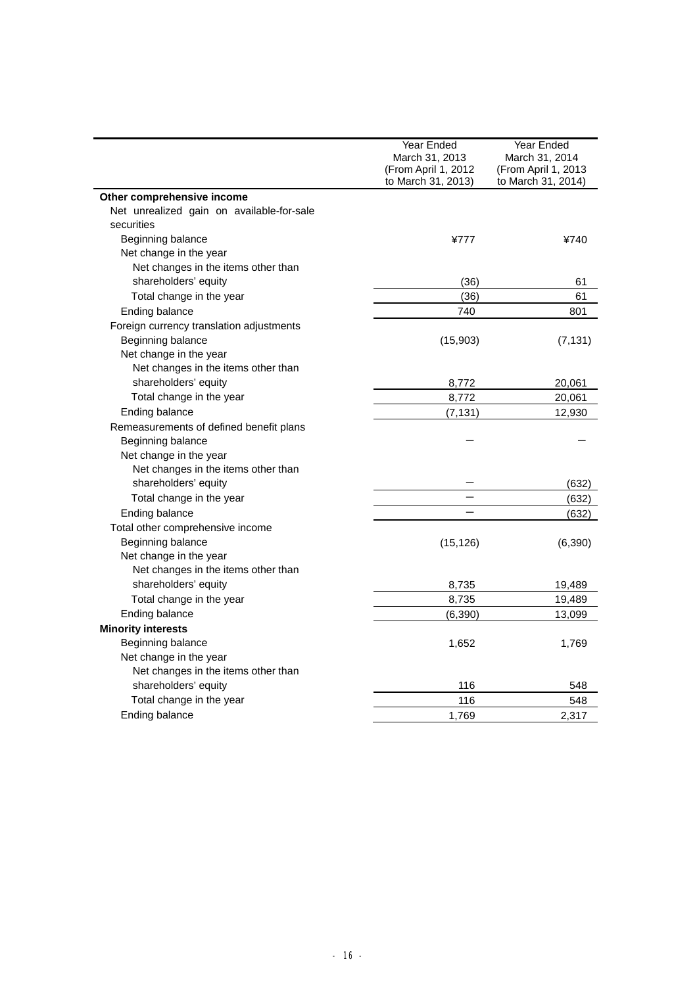|                                           | Year Ended<br>March 31, 2013              | Year Ended<br>March 31, 2014              |
|-------------------------------------------|-------------------------------------------|-------------------------------------------|
|                                           | (From April 1, 2012<br>to March 31, 2013) | (From April 1, 2013<br>to March 31, 2014) |
| Other comprehensive income                |                                           |                                           |
| Net unrealized gain on available-for-sale |                                           |                                           |
| securities                                |                                           |                                           |
| Beginning balance                         | ¥777                                      | ¥740                                      |
| Net change in the year                    |                                           |                                           |
| Net changes in the items other than       |                                           |                                           |
| shareholders' equity                      | (36)                                      | 61                                        |
| Total change in the year                  | (36)                                      | 61                                        |
| Ending balance                            | 740                                       | 801                                       |
| Foreign currency translation adjustments  |                                           |                                           |
| Beginning balance                         | (15,903)                                  | (7, 131)                                  |
| Net change in the year                    |                                           |                                           |
| Net changes in the items other than       |                                           |                                           |
| shareholders' equity                      | 8,772                                     | 20,061                                    |
| Total change in the year                  | 8,772                                     | 20,061                                    |
| Ending balance                            | (7, 131)                                  | 12,930                                    |
| Remeasurements of defined benefit plans   |                                           |                                           |
| Beginning balance                         |                                           |                                           |
| Net change in the year                    |                                           |                                           |
| Net changes in the items other than       |                                           |                                           |
| shareholders' equity                      |                                           | (632)                                     |
| Total change in the year                  |                                           | (632)                                     |
| Ending balance                            |                                           | (632)                                     |
| Total other comprehensive income          |                                           |                                           |
| Beginning balance                         | (15, 126)                                 | (6, 390)                                  |
| Net change in the year                    |                                           |                                           |
| Net changes in the items other than       |                                           |                                           |
| shareholders' equity                      | 8,735                                     | 19,489                                    |
| Total change in the year                  | 8,735                                     | 19,489                                    |
| Ending balance                            | (6, 390)                                  | 13,099                                    |
| <b>Minority interests</b>                 |                                           |                                           |
| Beginning balance                         | 1,652                                     | 1,769                                     |
| Net change in the year                    |                                           |                                           |
| Net changes in the items other than       |                                           |                                           |
| shareholders' equity                      | 116                                       | 548                                       |
| Total change in the year                  | 116                                       | 548                                       |
| Ending balance                            | 1,769                                     | 2,317                                     |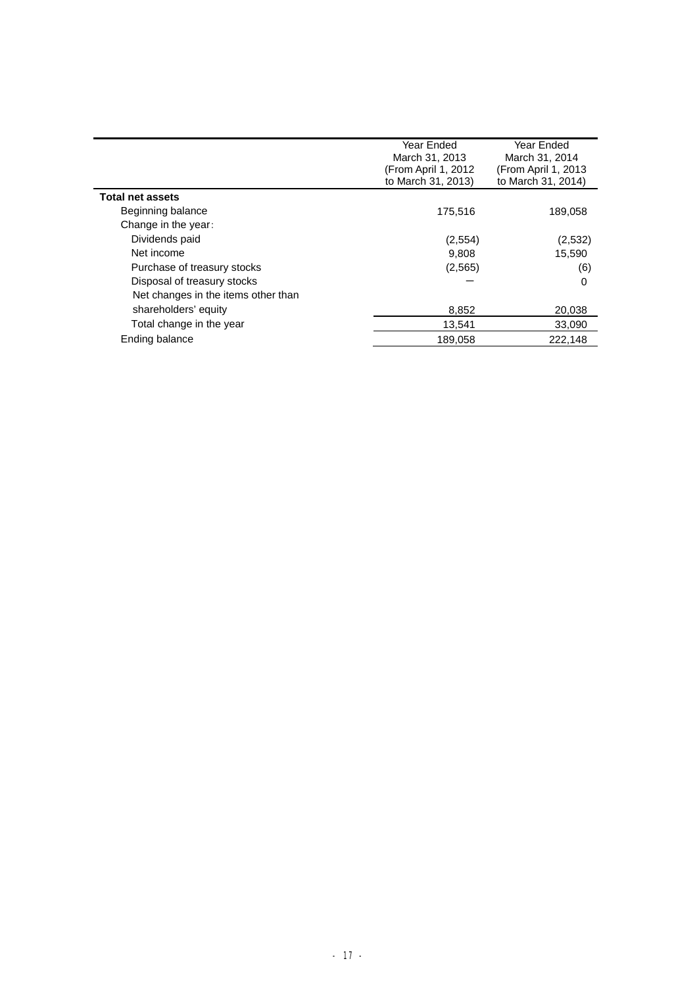|                                     | Year Ended<br>March 31, 2013<br>(From April 1, 2012<br>to March 31, 2013) | Year Ended<br>March 31, 2014<br>(From April 1, 2013<br>to March 31, 2014) |
|-------------------------------------|---------------------------------------------------------------------------|---------------------------------------------------------------------------|
| <b>Total net assets</b>             |                                                                           |                                                                           |
| Beginning balance                   | 175,516                                                                   | 189,058                                                                   |
| Change in the year:                 |                                                                           |                                                                           |
| Dividends paid                      | (2, 554)                                                                  | (2,532)                                                                   |
| Net income                          | 9,808                                                                     | 15,590                                                                    |
| Purchase of treasury stocks         | (2, 565)                                                                  | (6)                                                                       |
| Disposal of treasury stocks         |                                                                           | $\Omega$                                                                  |
| Net changes in the items other than |                                                                           |                                                                           |
| shareholders' equity                | 8,852                                                                     | 20,038                                                                    |
| Total change in the year            | 13,541                                                                    | 33,090                                                                    |
| Ending balance                      | 189,058                                                                   | 222,148                                                                   |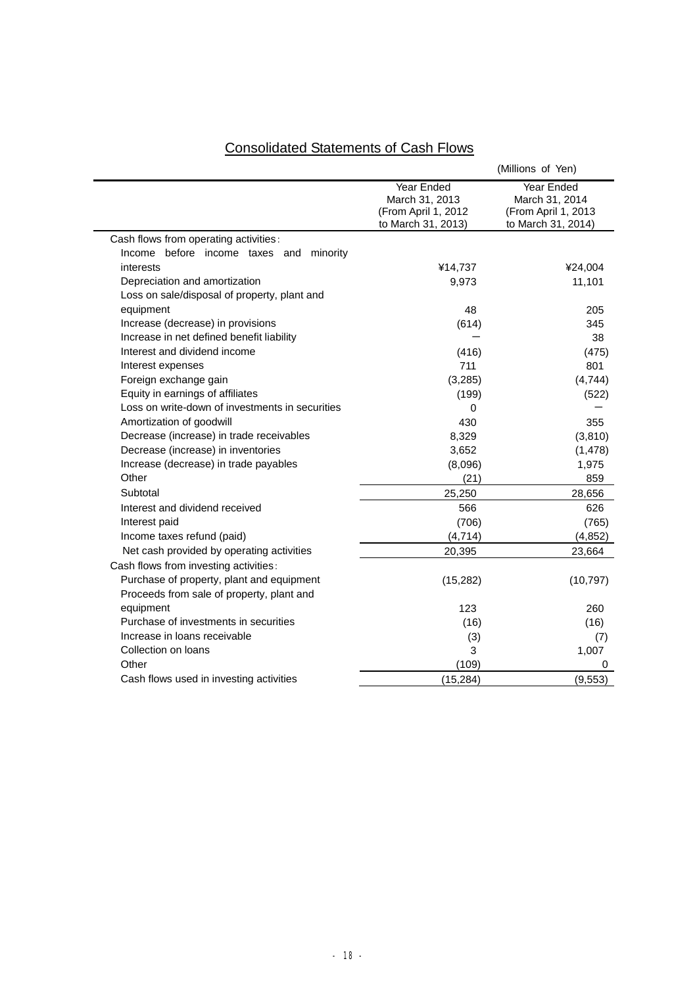# Consolidated Statements of Cash Flows

|                                                 |                                                                           | (Millions of Yen)                                                         |
|-------------------------------------------------|---------------------------------------------------------------------------|---------------------------------------------------------------------------|
|                                                 | Year Ended<br>March 31, 2013<br>(From April 1, 2012<br>to March 31, 2013) | Year Ended<br>March 31, 2014<br>(From April 1, 2013<br>to March 31, 2014) |
| Cash flows from operating activities:           |                                                                           |                                                                           |
| Income before income taxes and<br>minority      |                                                                           |                                                                           |
| interests                                       | ¥14,737                                                                   | ¥24,004                                                                   |
| Depreciation and amortization                   | 9,973                                                                     | 11,101                                                                    |
| Loss on sale/disposal of property, plant and    |                                                                           |                                                                           |
| equipment                                       | 48                                                                        | 205                                                                       |
| Increase (decrease) in provisions               | (614)                                                                     | 345                                                                       |
| Increase in net defined benefit liability       |                                                                           | 38                                                                        |
| Interest and dividend income                    | (416)                                                                     | (475)                                                                     |
| Interest expenses                               | 711                                                                       | 801                                                                       |
| Foreign exchange gain                           | (3, 285)                                                                  | (4,744)                                                                   |
| Equity in earnings of affiliates                | (199)                                                                     | (522)                                                                     |
| Loss on write-down of investments in securities | $\Omega$                                                                  |                                                                           |
| Amortization of goodwill                        | 430                                                                       | 355                                                                       |
| Decrease (increase) in trade receivables        | 8,329                                                                     | (3,810)                                                                   |
| Decrease (increase) in inventories              | 3,652                                                                     | (1, 478)                                                                  |
| Increase (decrease) in trade payables           | (8,096)                                                                   | 1,975                                                                     |
| Other                                           | (21)                                                                      | 859                                                                       |
| Subtotal                                        | 25,250                                                                    | 28,656                                                                    |
| Interest and dividend received                  | 566                                                                       | 626                                                                       |
| Interest paid                                   | (706)                                                                     | (765)                                                                     |
| Income taxes refund (paid)                      | (4, 714)                                                                  | (4, 852)                                                                  |
| Net cash provided by operating activities       | 20,395                                                                    | 23,664                                                                    |
| Cash flows from investing activities:           |                                                                           |                                                                           |
| Purchase of property, plant and equipment       | (15, 282)                                                                 | (10, 797)                                                                 |
| Proceeds from sale of property, plant and       |                                                                           |                                                                           |
| equipment                                       | 123                                                                       | 260                                                                       |
| Purchase of investments in securities           | (16)                                                                      | (16)                                                                      |
| Increase in loans receivable                    | (3)                                                                       | (7)                                                                       |
| Collection on loans                             | 3                                                                         | 1,007                                                                     |
| Other                                           | (109)                                                                     | 0                                                                         |
| Cash flows used in investing activities         | (15, 284)                                                                 | (9, 553)                                                                  |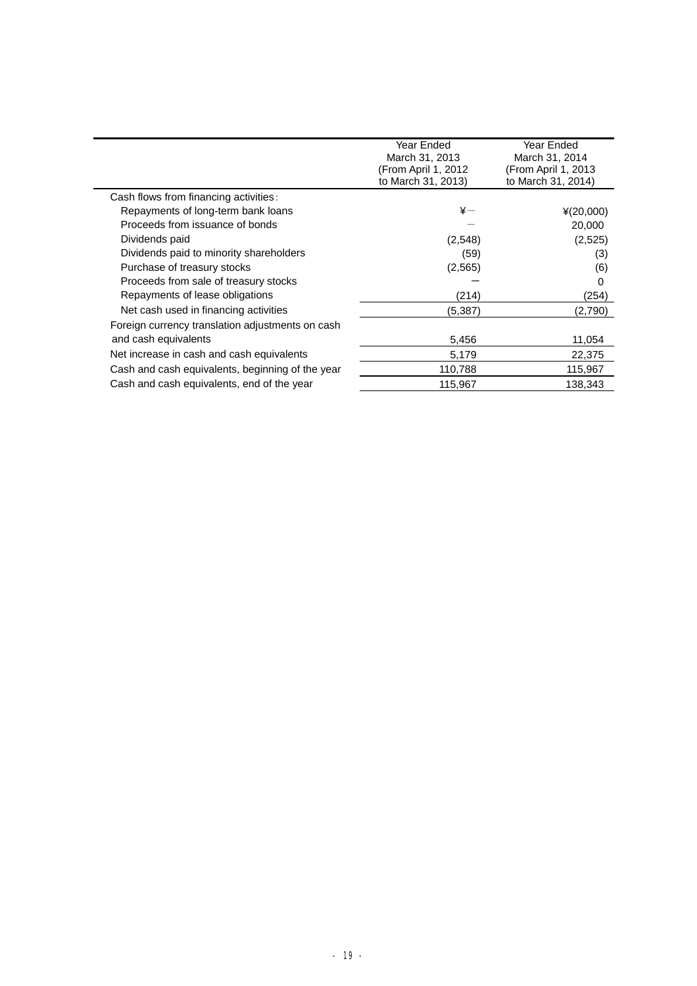|                                                  | Year Ended<br>March 31, 2013<br>(From April 1, 2012)<br>to March 31, 2013) | Year Ended<br>March 31, 2014<br>(From April 1, 2013)<br>to March 31, 2014) |
|--------------------------------------------------|----------------------------------------------------------------------------|----------------------------------------------------------------------------|
| Cash flows from financing activities:            |                                                                            |                                                                            |
| Repayments of long-term bank loans               | $\ddot{x}$ $-$                                                             | $*(20,000)$                                                                |
| Proceeds from issuance of bonds                  |                                                                            | 20,000                                                                     |
| Dividends paid                                   | (2,548)                                                                    | (2,525)                                                                    |
| Dividends paid to minority shareholders          | (59)                                                                       | (3)                                                                        |
| Purchase of treasury stocks                      | (2,565)                                                                    | (6)                                                                        |
| Proceeds from sale of treasury stocks            |                                                                            | 0                                                                          |
| Repayments of lease obligations                  | (214)                                                                      | (254)                                                                      |
| Net cash used in financing activities            | (5,387)                                                                    | (2,790)                                                                    |
| Foreign currency translation adjustments on cash |                                                                            |                                                                            |
| and cash equivalents                             | 5,456                                                                      | 11,054                                                                     |
| Net increase in cash and cash equivalents        | 5,179                                                                      | 22,375                                                                     |
| Cash and cash equivalents, beginning of the year | 110,788                                                                    | 115,967                                                                    |
| Cash and cash equivalents, end of the year       | 115,967                                                                    | 138,343                                                                    |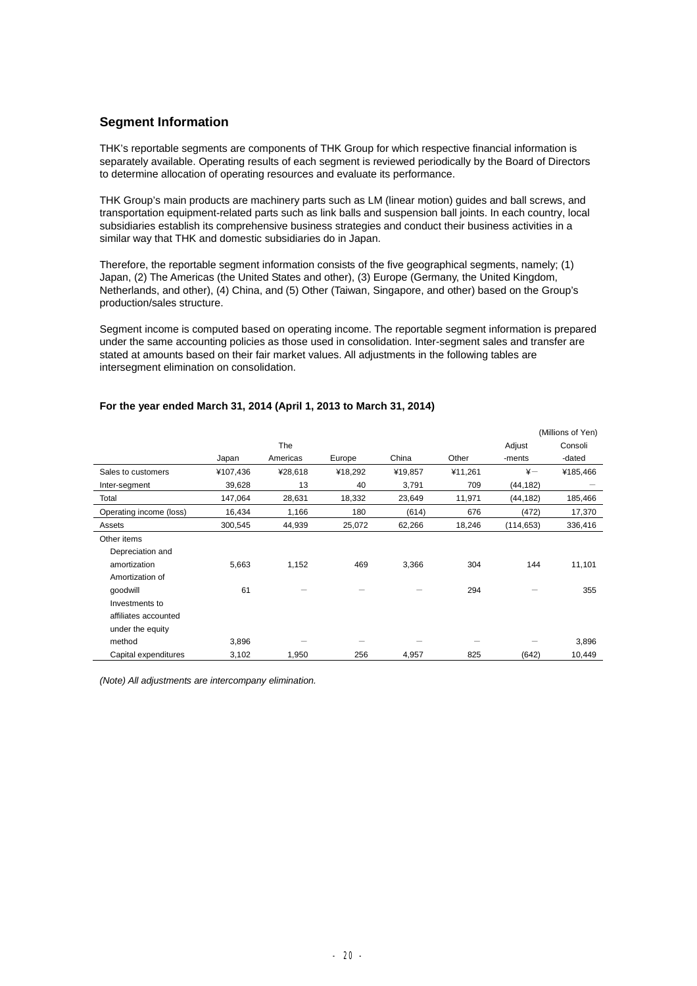# **Segment Information**

THK's reportable segments are components of THK Group for which respective financial information is separately available. Operating results of each segment is reviewed periodically by the Board of Directors to determine allocation of operating resources and evaluate its performance.

THK Group's main products are machinery parts such as LM (linear motion) guides and ball screws, and transportation equipment-related parts such as link balls and suspension ball joints. In each country, local subsidiaries establish its comprehensive business strategies and conduct their business activities in a similar way that THK and domestic subsidiaries do in Japan.

Therefore, the reportable segment information consists of the five geographical segments, namely; (1) Japan, (2) The Americas (the United States and other), (3) Europe (Germany, the United Kingdom, Netherlands, and other), (4) China, and (5) Other (Taiwan, Singapore, and other) based on the Group's production/sales structure.

Segment income is computed based on operating income. The reportable segment information is prepared under the same accounting policies as those used in consolidation. Inter-segment sales and transfer are stated at amounts based on their fair market values. All adjustments in the following tables are intersegment elimination on consolidation.

|                         |          |          |         |         |         |               | (Millions of Yen) |
|-------------------------|----------|----------|---------|---------|---------|---------------|-------------------|
|                         |          | The      |         |         |         | Adjust        | Consoli           |
|                         | Japan    | Americas | Europe  | China   | Other   | -ments        | -dated            |
| Sales to customers      | ¥107,436 | ¥28,618  | ¥18,292 | ¥19,857 | ¥11,261 | $\frac{1}{2}$ | ¥185,466          |
| Inter-segment           | 39,628   | 13       | 40      | 3,791   | 709     | (44, 182)     |                   |
| Total                   | 147,064  | 28,631   | 18,332  | 23,649  | 11,971  | (44, 182)     | 185,466           |
| Operating income (loss) | 16,434   | 1,166    | 180     | (614)   | 676     | (472)         | 17,370            |
| Assets                  | 300,545  | 44,939   | 25,072  | 62,266  | 18,246  | (114, 653)    | 336,416           |
| Other items             |          |          |         |         |         |               |                   |
| Depreciation and        |          |          |         |         |         |               |                   |
| amortization            | 5,663    | 1,152    | 469     | 3,366   | 304     | 144           | 11,101            |
| Amortization of         |          |          |         |         |         |               |                   |
| qoodwill                | 61       |          |         |         | 294     |               | 355               |
| Investments to          |          |          |         |         |         |               |                   |
| affiliates accounted    |          |          |         |         |         |               |                   |
| under the equity        |          |          |         |         |         |               |                   |
| method                  | 3,896    |          |         |         |         |               | 3,896             |
| Capital expenditures    | 3,102    | 1,950    | 256     | 4,957   | 825     | (642)         | 10,449            |

## **For the year ended March 31, 2014 (April 1, 2013 to March 31, 2014)**

*(Note) All adjustments are intercompany elimination.*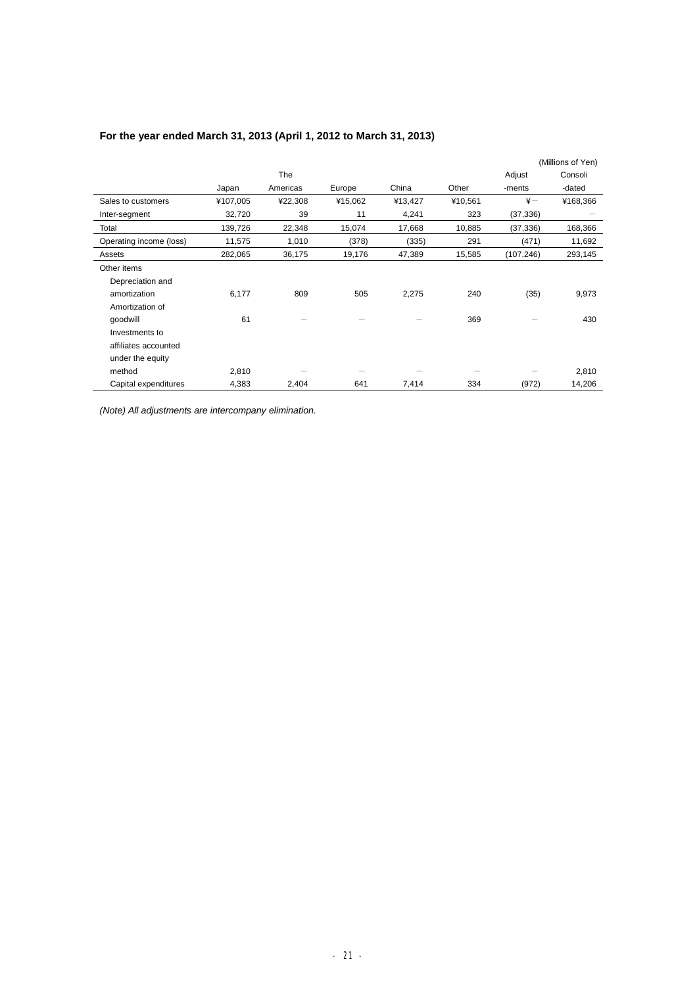| For the year ended March 31, 2013 (April 1, 2012 to March 31, 2013) |  |
|---------------------------------------------------------------------|--|
|---------------------------------------------------------------------|--|

|                         |          |          |         |         |         |               | (Millions of Yen) |
|-------------------------|----------|----------|---------|---------|---------|---------------|-------------------|
|                         |          | The      |         |         |         | Adjust        | Consoli           |
|                         | Japan    | Americas | Europe  | China   | Other   | -ments        | -dated            |
| Sales to customers      | ¥107,005 | ¥22,308  | ¥15,062 | ¥13,427 | ¥10,561 | $\frac{1}{2}$ | ¥168,366          |
| Inter-segment           | 32,720   | 39       | 11      | 4,241   | 323     | (37, 336)     |                   |
| Total                   | 139,726  | 22,348   | 15,074  | 17,668  | 10,885  | (37, 336)     | 168,366           |
| Operating income (loss) | 11,575   | 1,010    | (378)   | (335)   | 291     | (471)         | 11,692            |
| Assets                  | 282,065  | 36,175   | 19,176  | 47,389  | 15,585  | (107,246)     | 293,145           |
| Other items             |          |          |         |         |         |               |                   |
| Depreciation and        |          |          |         |         |         |               |                   |
| amortization            | 6,177    | 809      | 505     | 2,275   | 240     | (35)          | 9,973             |
| Amortization of         |          |          |         |         |         |               |                   |
| qoodwill                | 61       |          |         |         | 369     |               | 430               |
| Investments to          |          |          |         |         |         |               |                   |
| affiliates accounted    |          |          |         |         |         |               |                   |
| under the equity        |          |          |         |         |         |               |                   |
| method                  | 2,810    |          |         |         |         |               | 2,810             |
| Capital expenditures    | 4,383    | 2,404    | 641     | 7,414   | 334     | (972)         | 14,206            |

*(Note) All adjustments are intercompany elimination.*